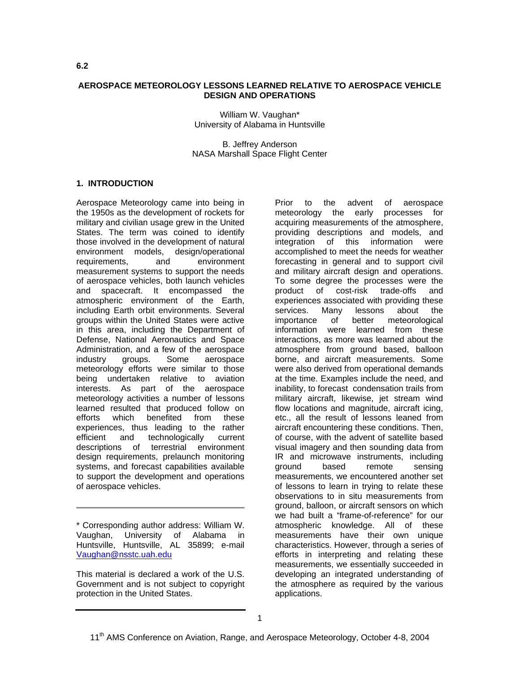#### **AEROSPACE METEOROLOGY LESSONS LEARNED RELATIVE TO AEROSPACE VEHICLE DESIGN AND OPERATIONS**

William W. Vaughan\* University of Alabama in Huntsville

B. Jeffrey Anderson NASA Marshall Space Flight Center

### **1. INTRODUCTION**

Aerospace Meteorology came into being in the 1950s as the development of rockets for military and civilian usage grew in the United States. The term was coined to identify those involved in the development of natural environment models, design/operational requirements, and environment measurement systems to support the needs of aerospace vehicles, both launch vehicles and spacecraft. It encompassed the atmospheric environment of the Earth, including Earth orbit environments. Several groups within the United States were active in this area, including the Department of Defense, National Aeronautics and Space Administration, and a few of the aerospace industry groups. Some aerospace meteorology efforts were similar to those being undertaken relative to aviation interests. As part of the aerospace meteorology activities a number of lessons learned resulted that produced follow on efforts which benefited from these experiences, thus leading to the rather efficient and technologically current descriptions of terrestrial environment design requirements, prelaunch monitoring systems, and forecast capabilities available to support the development and operations of aerospace vehicles.

This material is declared a work of the U.S. Government and is not subject to copyright protection in the United States.

Prior to the advent of aerospace meteorology the early processes for acquiring measurements of the atmosphere, providing descriptions and models, and integration of this information were accomplished to meet the needs for weather forecasting in general and to support civil and military aircraft design and operations. To some degree the processes were the<br>product of cost-risk trade-offs and product of cost-risk trade-offs and experiences associated with providing these services. Many lessons about the importance of better meteorological information were learned from these interactions, as more was learned about the atmosphere from ground based, balloon borne, and aircraft measurements. Some were also derived from operational demands at the time. Examples include the need, and inability, to forecast condensation trails from military aircraft, likewise, jet stream wind flow locations and magnitude, aircraft icing, etc., all the result of lessons leaned from aircraft encountering these conditions. Then, of course, with the advent of satellite based visual imagery and then sounding data from IR and microwave instruments, including ground based remote sensing measurements, we encountered another set of lessons to learn in trying to relate these observations to in situ measurements from ground, balloon, or aircraft sensors on which we had built a "frame-of-reference" for our atmospheric knowledge. All of these measurements have their own unique characteristics. However, through a series of efforts in interpreting and relating these measurements, we essentially succeeded in developing an integrated understanding of the atmosphere as required by the various applications.

<sup>\*</sup> Corresponding author address: William W. Vaughan, University of Alabama in Huntsville, Huntsville, AL 35899; e-mail Vaughan@nsstc.uah.edu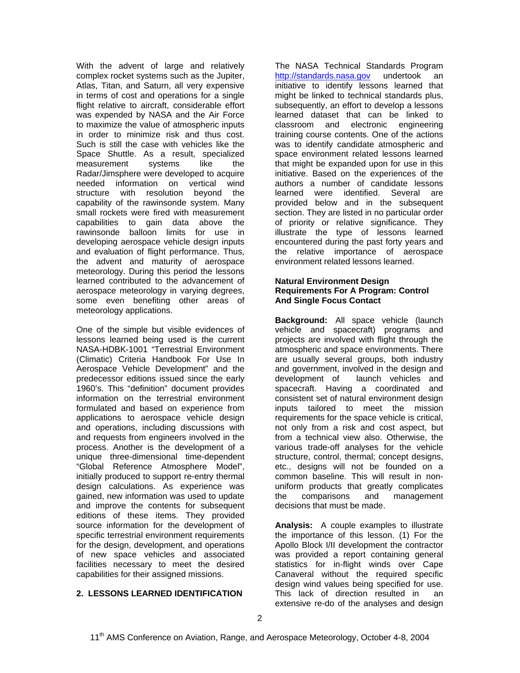With the advent of large and relatively complex rocket systems such as the Jupiter, Atlas, Titan, and Saturn, all very expensive in terms of cost and operations for a single flight relative to aircraft, considerable effort was expended by NASA and the Air Force to maximize the value of atmospheric inputs in order to minimize risk and thus cost. Such is still the case with vehicles like the Space Shuttle. As a result, specialized measurement systems like the Radar/Jimsphere were developed to acquire needed information on vertical wind structure with resolution beyond the capability of the rawinsonde system. Many small rockets were fired with measurement capabilities to gain data above the rawinsonde balloon limits for use in developing aerospace vehicle design inputs and evaluation of flight performance. Thus, the advent and maturity of aerospace meteorology. During this period the lessons learned contributed to the advancement of aerospace meteorology in varying degrees, some even benefiting other areas of meteorology applications.

One of the simple but visible evidences of lessons learned being used is the current NASA-HDBK-1001 "Terrestrial Environment (Climatic) Criteria Handbook For Use In Aerospace Vehicle Development" and the predecessor editions issued since the early 1960's. This "definition" document provides information on the terrestrial environment formulated and based on experience from applications to aerospace vehicle design and operations, including discussions with and requests from engineers involved in the process. Another is the development of a unique three-dimensional time-dependent "Global Reference Atmosphere Model", initially produced to support re-entry thermal design calculations. As experience was gained, new information was used to update and improve the contents for subsequent editions of these items. They provided source information for the development of specific terrestrial environment requirements for the design, development, and operations of new space vehicles and associated facilities necessary to meet the desired capabilities for their assigned missions.

# **2. LESSONS LEARNED IDENTIFICATION**

The NASA Technical Standards Program http://standards.nasa.gov undertook an initiative to identify lessons learned that might be linked to technical standards plus, subsequently, an effort to develop a lessons learned dataset that can be linked to classroom and electronic engineering training course contents. One of the actions was to identify candidate atmospheric and space environment related lessons learned that might be expanded upon for use in this initiative. Based on the experiences of the authors a number of candidate lessons learned were identified. Several are provided below and in the subsequent section. They are listed in no particular order of priority or relative significance. They illustrate the type of lessons learned encountered during the past forty years and the relative importance of aerospace environment related lessons learned.

### **Natural Environment Design Requirements For A Program: Control And Single Focus Contact**

**Background:** All space vehicle (launch vehicle and spacecraft) programs and projects are involved with flight through the atmospheric and space environments. There are usually several groups, both industry and government, involved in the design and development of launch vehicles and spacecraft. Having a coordinated and consistent set of natural environment design inputs tailored to meet the mission requirements for the space vehicle is critical, not only from a risk and cost aspect, but from a technical view also. Otherwise, the various trade-off analyses for the vehicle structure, control, thermal; concept designs, etc., designs will not be founded on a common baseline. This will result in nonuniform products that greatly complicates the comparisons and management decisions that must be made.

**Analysis:** A couple examples to illustrate the importance of this lesson. (1) For the Apollo Block I/II development the contractor was provided a report containing general statistics for in-flight winds over Cape Canaveral without the required specific design wind values being specified for use. This lack of direction resulted in an extensive re-do of the analyses and design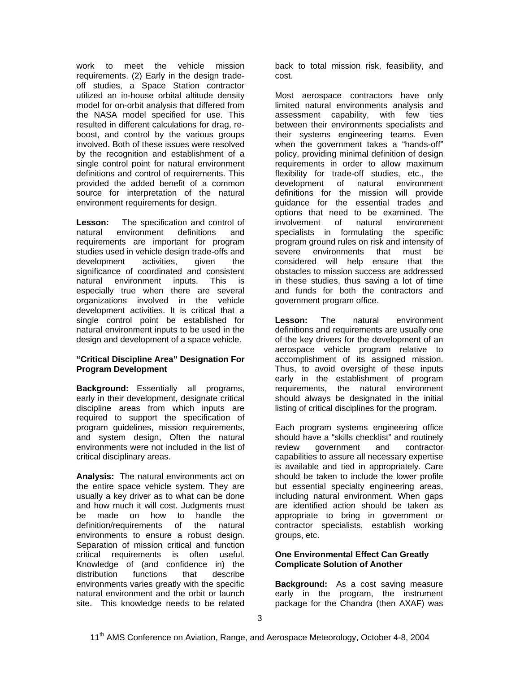work to meet the vehicle mission requirements. (2) Early in the design tradeoff studies, a Space Station contractor utilized an in-house orbital altitude density model for on-orbit analysis that differed from the NASA model specified for use. This resulted in different calculations for drag, reboost, and control by the various groups involved. Both of these issues were resolved by the recognition and establishment of a single control point for natural environment definitions and control of requirements. This provided the added benefit of a common source for interpretation of the natural environment requirements for design.

**Lesson:** The specification and control of natural environment definitions and requirements are important for program studies used in vehicle design trade-offs and development activities, given the significance of coordinated and consistent natural environment inputs. This is especially true when there are several organizations involved in the vehicle development activities. It is critical that a single control point be established for natural environment inputs to be used in the design and development of a space vehicle.

### **"Critical Discipline Area" Designation For Program Development**

**Background:** Essentially all programs, early in their development, designate critical discipline areas from which inputs are required to support the specification of program guidelines, mission requirements, and system design, Often the natural environments were not included in the list of critical disciplinary areas.

**Analysis:** The natural environments act on the entire space vehicle system. They are usually a key driver as to what can be done and how much it will cost. Judgments must be made on how to handle the definition/requirements of the natural environments to ensure a robust design. Separation of mission critical and function critical requirements is often useful. Knowledge of (and confidence in) the distribution functions that describe environments varies greatly with the specific natural environment and the orbit or launch site. This knowledge needs to be related

back to total mission risk, feasibility, and cost.

Most aerospace contractors have only limited natural environments analysis and assessment capability, with few ties between their environments specialists and their systems engineering teams. Even when the government takes a "hands-off" policy, providing minimal definition of design requirements in order to allow maximum flexibility for trade-off studies, etc., the development of natural environment definitions for the mission will provide guidance for the essential trades and options that need to be examined. The involvement of natural environment specialists in formulating the specific program ground rules on risk and intensity of severe environments that must be considered will help ensure that the obstacles to mission success are addressed in these studies, thus saving a lot of time and funds for both the contractors and government program office.

**Lesson:** The natural environment definitions and requirements are usually one of the key drivers for the development of an aerospace vehicle program relative to accomplishment of its assigned mission. Thus, to avoid oversight of these inputs early in the establishment of program requirements, the natural environment should always be designated in the initial listing of critical disciplines for the program.

Each program systems engineering office should have a "skills checklist" and routinely review government and contractor capabilities to assure all necessary expertise is available and tied in appropriately. Care should be taken to include the lower profile but essential specialty engineering areas, including natural environment. When gaps are identified action should be taken as appropriate to bring in government or contractor specialists, establish working groups, etc.

# **One Environmental Effect Can Greatly Complicate Solution of Another**

**Background:** As a cost saving measure early in the program, the instrument package for the Chandra (then AXAF) was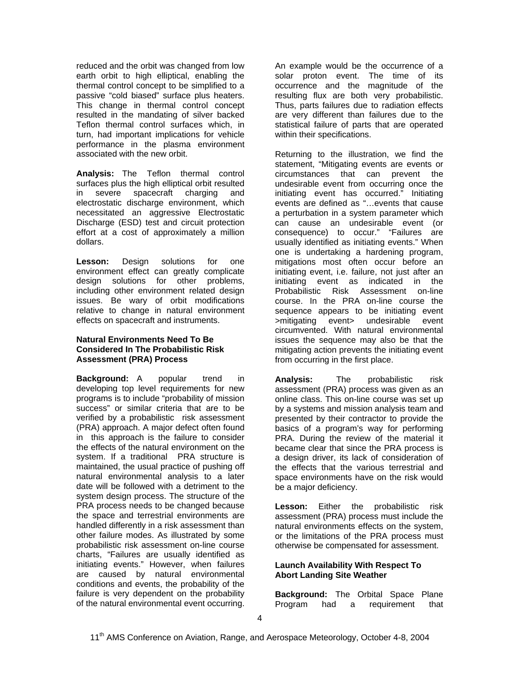reduced and the orbit was changed from low earth orbit to high elliptical, enabling the thermal control concept to be simplified to a passive "cold biased" surface plus heaters. This change in thermal control concept resulted in the mandating of silver backed Teflon thermal control surfaces which, in turn, had important implications for vehicle performance in the plasma environment associated with the new orbit.

**Analysis:** The Teflon thermal control surfaces plus the high elliptical orbit resulted in severe spacecraft charging and electrostatic discharge environment, which necessitated an aggressive Electrostatic Discharge (ESD) test and circuit protection effort at a cost of approximately a million dollars.

**Lesson:** Design solutions for one environment effect can greatly complicate design solutions for other problems, including other environment related design issues. Be wary of orbit modifications relative to change in natural environment effects on spacecraft and instruments.

#### **Natural Environments Need To Be Considered In The Probabilistic Risk Assessment (PRA) Process**

**Background:** A popular trend in developing top level requirements for new programs is to include "probability of mission success" or similar criteria that are to be verified by a probabilistic risk assessment (PRA) approach. A major defect often found in this approach is the failure to consider the effects of the natural environment on the system. If a traditional PRA structure is maintained, the usual practice of pushing off natural environmental analysis to a later date will be followed with a detriment to the system design process. The structure of the PRA process needs to be changed because the space and terrestrial environments are handled differently in a risk assessment than other failure modes. As illustrated by some probabilistic risk assessment on-line course charts, "Failures are usually identified as initiating events." However, when failures are caused by natural environmental conditions and events, the probability of the failure is very dependent on the probability of the natural environmental event occurring.

An example would be the occurrence of a solar proton event. The time of its occurrence and the magnitude of the resulting flux are both very probabilistic. Thus, parts failures due to radiation effects are very different than failures due to the statistical failure of parts that are operated within their specifications.

Returning to the illustration, we find the statement, "Mitigating events are events or circumstances that can prevent the undesirable event from occurring once the initiating event has occurred." Initiating events are defined as "…events that cause a perturbation in a system parameter which can cause an undesirable event (or consequence) to occur." "Failures are usually identified as initiating events." When one is undertaking a hardening program, mitigations most often occur before an initiating event, i.e. failure, not just after an initiating event as indicated in the Probabilistic Risk Assessment on-line course. In the PRA on-line course the sequence appears to be initiating event >mitigating event> undesirable event circumvented. With natural environmental issues the sequence may also be that the mitigating action prevents the initiating event from occurring in the first place.

**Analysis:** The probabilistic risk assessment (PRA) process was given as an online class. This on-line course was set up by a systems and mission analysis team and presented by their contractor to provide the basics of a program's way for performing PRA. During the review of the material it became clear that since the PRA process is a design driver, its lack of consideration of the effects that the various terrestrial and space environments have on the risk would be a major deficiency.

**Lesson:** Either the probabilistic risk assessment (PRA) process must include the natural environments effects on the system, or the limitations of the PRA process must otherwise be compensated for assessment.

### **Launch Availability With Respect To Abort Landing Site Weather**

**Background:** The Orbital Space Plane Program had a requirement that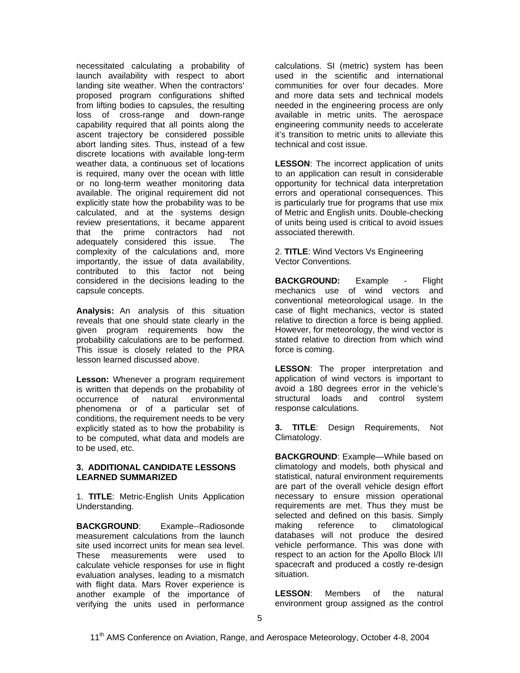necessitated calculating a probability of launch availability with respect to abort landing site weather. When the contractors' proposed program configurations shifted from lifting bodies to capsules, the resulting loss of cross-range and down-range capability required that all points along the ascent trajectory be considered possible abort landing sites. Thus, instead of a few discrete locations with available long-term weather data, a continuous set of locations is required, many over the ocean with little or no long-term weather monitoring data available. The original requirement did not explicitly state how the probability was to be calculated, and at the systems design review presentations, it became apparent that the prime contractors had not adequately considered this issue. The complexity of the calculations and, more importantly, the issue of data availability, contributed to this factor not being considered in the decisions leading to the capsule concepts.

**Analysis:** An analysis of this situation reveals that one should state clearly in the given program requirements how the probability calculations are to be performed. This issue is closely related to the PRA lesson learned discussed above.

**Lesson:** Whenever a program requirement is written that depends on the probability of occurrence of natural environmental phenomena or of a particular set of conditions, the requirement needs to be very explicitly stated as to how the probability is to be computed, what data and models are to be used, etc.

### **3. ADDITIONAL CANDIDATE LESSONS LEARNED SUMMARIZED**

1. **TITLE**: Metric-English Units Application Understanding.

**BACKGROUND**: Example--Radiosonde measurement calculations from the launch site used incorrect units for mean sea level. These measurements were used to calculate vehicle responses for use in flight evaluation analyses, leading to a mismatch with flight data. Mars Rover experience is another example of the importance of verifying the units used in performance

calculations. SI (metric) system has been used in the scientific and international communities for over four decades. More and more data sets and technical models needed in the engineering process are only available in metric units. The aerospace engineering community needs to accelerate it's transition to metric units to alleviate this technical and cost issue.

**LESSON**: The incorrect application of units to an application can result in considerable opportunity for technical data interpretation errors and operational consequences. This is particularly true for programs that use mix of Metric and English units. Double-checking of units being used is critical to avoid issues associated therewith.

2. **TITLE**: Wind Vectors Vs Engineering Vector Conventions.

**BACKGROUND:** Example - Flight mechanics use of wind vectors and conventional meteorological usage. In the case of flight mechanics, vector is stated relative to direction a force is being applied. However, for meteorology, the wind vector is stated relative to direction from which wind force is coming.

**LESSON**: The proper interpretation and application of wind vectors is important to avoid a 180 degrees error in the vehicle's structural loads and control system response calculations.

**3. TITLE**: Design Requirements, Not Climatology.

**BACKGROUND**: Example—While based on climatology and models, both physical and statistical, natural environment requirements are part of the overall vehicle design effort necessary to ensure mission operational requirements are met. Thus they must be selected and defined on this basis. Simply making reference to climatological databases will not produce the desired vehicle performance. This was done with respect to an action for the Apollo Block I/II spacecraft and produced a costly re-design situation.

**LESSON**: Members of the natural environment group assigned as the control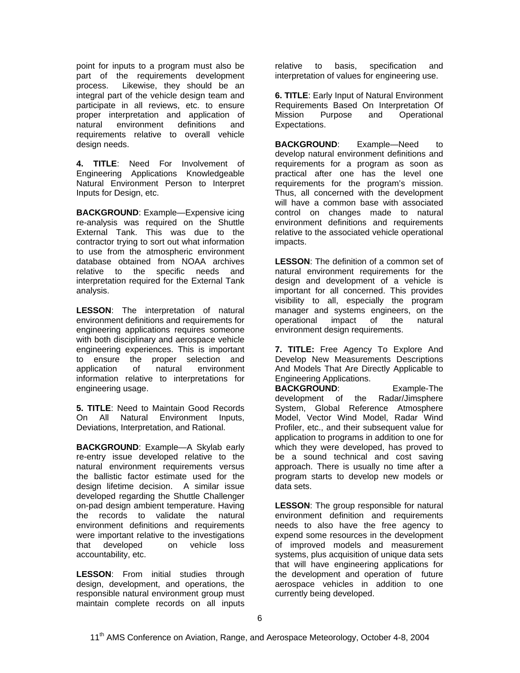point for inputs to a program must also be part of the requirements development process. Likewise, they should be an integral part of the vehicle design team and participate in all reviews, etc. to ensure proper interpretation and application of natural environment definitions and requirements relative to overall vehicle design needs.

**4. TITLE**: Need For Involvement of Engineering Applications Knowledgeable Natural Environment Person to Interpret Inputs for Design, etc.

**BACKGROUND**: Example—Expensive icing re-analysis was required on the Shuttle External Tank. This was due to the contractor trying to sort out what information to use from the atmospheric environment database obtained from NOAA archives relative to the specific needs and interpretation required for the External Tank analysis.

**LESSON**: The interpretation of natural environment definitions and requirements for engineering applications requires someone with both disciplinary and aerospace vehicle engineering experiences. This is important to ensure the proper selection and application of natural environment information relative to interpretations for engineering usage.

**5. TITLE**: Need to Maintain Good Records On All Natural Environment Inputs, Deviations, Interpretation, and Rational.

**BACKGROUND**: Example—A Skylab early re-entry issue developed relative to the natural environment requirements versus the ballistic factor estimate used for the design lifetime decision. A similar issue developed regarding the Shuttle Challenger on-pad design ambient temperature. Having the records to validate the natural environment definitions and requirements were important relative to the investigations that developed on vehicle loss accountability, etc.

**LESSON**: From initial studies through design, development, and operations, the responsible natural environment group must maintain complete records on all inputs

relative to basis, specification and interpretation of values for engineering use.

**6. TITLE**: Early Input of Natural Environment Requirements Based On Interpretation Of Mission Purpose and Operational Expectations.

**BACKGROUND**: Example—Need to develop natural environment definitions and requirements for a program as soon as practical after one has the level one requirements for the program's mission. Thus, all concerned with the development will have a common base with associated control on changes made to natural environment definitions and requirements relative to the associated vehicle operational impacts.

**LESSON**: The definition of a common set of natural environment requirements for the design and development of a vehicle is important for all concerned. This provides visibility to all, especially the program manager and systems engineers, on the operational impact of the natural environment design requirements.

**7. TITLE:** Free Agency To Explore And Develop New Measurements Descriptions And Models That Are Directly Applicable to Engineering Applications.

**BACKGROUND:** Example-The development of the Radar/Jimsphere System, Global Reference Atmosphere Model, Vector Wind Model, Radar Wind Profiler, etc., and their subsequent value for application to programs in addition to one for which they were developed, has proved to be a sound technical and cost saving approach. There is usually no time after a program starts to develop new models or data sets.

**LESSON**: The group responsible for natural environment definition and requirements needs to also have the free agency to expend some resources in the development of improved models and measurement systems, plus acquisition of unique data sets that will have engineering applications for the development and operation of future aerospace vehicles in addition to one currently being developed.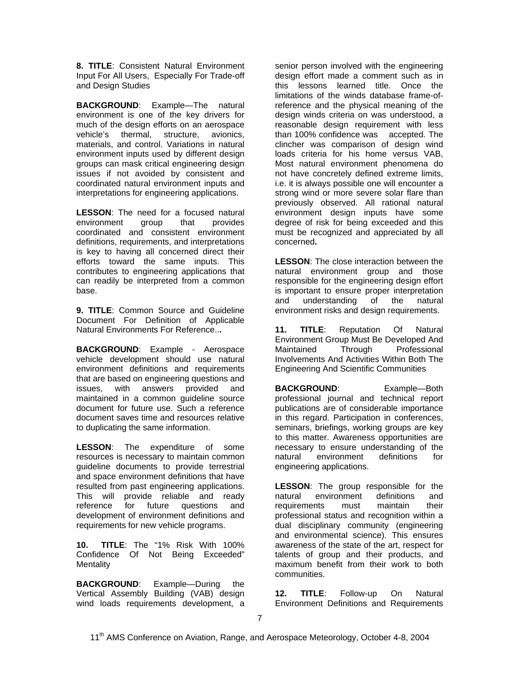**8. TITLE**: Consistent Natural Environment Input For All Users, Especially For Trade-off and Design Studies

**BACKGROUND**: Example—The natural environment is one of the key drivers for much of the design efforts on an aerospace vehicle's thermal, structure, avionics, materials, and control. Variations in natural environment inputs used by different design groups can mask critical engineering design issues if not avoided by consistent and coordinated natural environment inputs and interpretations for engineering applications.

**LESSON**: The need for a focused natural environment group that provides coordinated and consistent environment definitions, requirements, and interpretations is key to having all concerned direct their efforts toward the same inputs. This contributes to engineering applications that can readily be interpreted from a common base.

**9. TITLE**: Common Source and Guideline Document For Definition of Applicable Natural Environments For Reference..**.** 

**BACKGROUND**: Example - Aerospace vehicle development should use natural environment definitions and requirements that are based on engineering questions and issues, with answers provided and maintained in a common guideline source document for future use. Such a reference document saves time and resources relative to duplicating the same information.

**LESSON**: The expenditure of some resources is necessary to maintain common guideline documents to provide terrestrial and space environment definitions that have resulted from past engineering applications. This will provide reliable and ready reference for future questions and development of environment definitions and requirements for new vehicle programs.

**10. TITLE**: The "1% Risk With 100% Confidence Of Not Being Exceeded" **Mentality** 

**BACKGROUND**: Example—During the Vertical Assembly Building (VAB) design wind loads requirements development, a

senior person involved with the engineering design effort made a comment such as in this lessons learned title. Once the limitations of the winds database frame-ofreference and the physical meaning of the design winds criteria on was understood, a reasonable design requirement with less than 100% confidence was accepted. The clincher was comparison of design wind loads criteria for his home versus VAB, Most natural environment phenomena do not have concretely defined extreme limits, i.e. it is always possible one will encounter a strong wind or more severe solar flare than previously observed. All rational natural environment design inputs have some degree of risk for being exceeded and this must be recognized and appreciated by all concerned**.** 

**LESSON**: The close interaction between the natural environment group and those responsible for the engineering design effort is important to ensure proper interpretation and understanding of the natural environment risks and design requirements.

**11. TITLE**: Reputation Of Natural Environment Group Must Be Developed And Maintained Through Professional Involvements And Activities Within Both The Engineering And Scientific Communities

**BACKGROUND**: Example—Both professional journal and technical report publications are of considerable importance in this regard. Participation in conferences, seminars, briefings, working groups are key to this matter. Awareness opportunities are necessary to ensure understanding of the natural environment definitions for engineering applications.

**LESSON**: The group responsible for the natural environment definitions and requirements must maintain their professional status and recognition within a dual disciplinary community (engineering and environmental science). This ensures awareness of the state of the art, respect for talents of group and their products, and maximum benefit from their work to both communities.

**12. TITLE**: Follow-up On Natural Environment Definitions and Requirements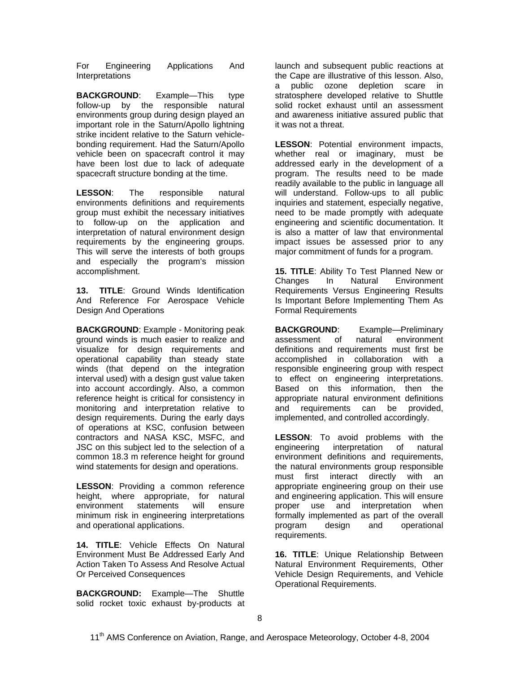For Engineering Applications And Interpretations

**BACKGROUND**: Example—This type follow-up by the responsible natural environments group during design played an important role in the Saturn/Apollo lightning strike incident relative to the Saturn vehiclebonding requirement. Had the Saturn/Apollo vehicle been on spacecraft control it may have been lost due to lack of adequate spacecraft structure bonding at the time.

**LESSON**: The responsible natural environments definitions and requirements group must exhibit the necessary initiatives to follow-up on the application and interpretation of natural environment design requirements by the engineering groups. This will serve the interests of both groups and especially the program's mission accomplishment.

**13. TITLE**: Ground Winds Identification And Reference For Aerospace Vehicle Design And Operations

**BACKGROUND**: Example - Monitoring peak ground winds is much easier to realize and visualize for design requirements and operational capability than steady state winds (that depend on the integration interval used) with a design gust value taken into account accordingly. Also, a common reference height is critical for consistency in monitoring and interpretation relative to design requirements. During the early days of operations at KSC, confusion between contractors and NASA KSC, MSFC, and JSC on this subject led to the selection of a common 18.3 m reference height for ground wind statements for design and operations.

**LESSON**: Providing a common reference height, where appropriate, for natural environment statements will ensure minimum risk in engineering interpretations and operational applications.

**14. TITLE**: Vehicle Effects On Natural Environment Must Be Addressed Early And Action Taken To Assess And Resolve Actual Or Perceived Consequences

**BACKGROUND:** Example—The Shuttle solid rocket toxic exhaust by-products at

launch and subsequent public reactions at the Cape are illustrative of this lesson. Also, a public ozone depletion scare in stratosphere developed relative to Shuttle solid rocket exhaust until an assessment and awareness initiative assured public that it was not a threat.

**LESSON**: Potential environment impacts, whether real or imaginary, must be addressed early in the development of a program. The results need to be made readily available to the public in language all will understand. Follow-ups to all public inquiries and statement, especially negative, need to be made promptly with adequate engineering and scientific documentation. It is also a matter of law that environmental impact issues be assessed prior to any major commitment of funds for a program.

**15. TITLE**: Ability To Test Planned New or Changes In Natural Environment Requirements Versus Engineering Results Is Important Before Implementing Them As Formal Requirements

**BACKGROUND**: Example—Preliminary assessment of natural environment definitions and requirements must first be accomplished in collaboration with a responsible engineering group with respect to effect on engineering interpretations. Based on this information, then the appropriate natural environment definitions and requirements can be provided, implemented, and controlled accordingly.

**LESSON**: To avoid problems with the engineering interpretation of natural environment definitions and requirements, the natural environments group responsible must first interact directly with an appropriate engineering group on their use and engineering application. This will ensure proper use and interpretation when formally implemented as part of the overall program design and operational requirements.

**16. TITLE**: Unique Relationship Between Natural Environment Requirements, Other Vehicle Design Requirements, and Vehicle Operational Requirements.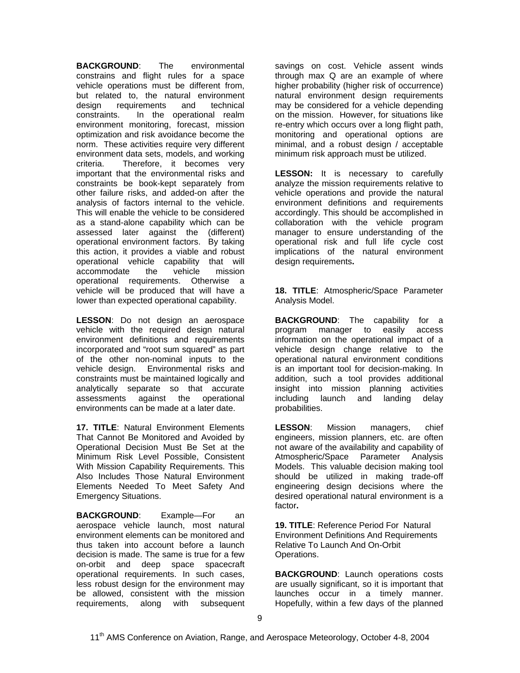**BACKGROUND**: The environmental constrains and flight rules for a space vehicle operations must be different from, but related to, the natural environment design requirements and technical constraints. In the operational realm environment monitoring, forecast, mission optimization and risk avoidance become the norm. These activities require very different environment data sets, models, and working criteria. Therefore, it becomes very important that the environmental risks and constraints be book-kept separately from other failure risks, and added-on after the analysis of factors internal to the vehicle. This will enable the vehicle to be considered as a stand-alone capability which can be assessed later against the (different) operational environment factors. By taking this action, it provides a viable and robust operational vehicle capability that will accommodate the vehicle mission operational requirements. Otherwise a vehicle will be produced that will have a lower than expected operational capability.

**LESSON**: Do not design an aerospace vehicle with the required design natural environment definitions and requirements incorporated and "root sum squared" as part of the other non-nominal inputs to the vehicle design. Environmental risks and constraints must be maintained logically and analytically separate so that accurate assessments against the operational environments can be made at a later date.

**17. TITLE**: Natural Environment Elements That Cannot Be Monitored and Avoided by Operational Decision Must Be Set at the Minimum Risk Level Possible, Consistent With Mission Capability Requirements. This Also Includes Those Natural Environment Elements Needed To Meet Safety And Emergency Situations.

**BACKGROUND**: Example—For an aerospace vehicle launch, most natural environment elements can be monitored and thus taken into account before a launch decision is made. The same is true for a few on-orbit and deep space spacecraft operational requirements. In such cases, less robust design for the environment may be allowed, consistent with the mission requirements, along with subsequent savings on cost. Vehicle assent winds through max Q are an example of where higher probability (higher risk of occurrence) natural environment design requirements may be considered for a vehicle depending on the mission. However, for situations like re-entry which occurs over a long flight path, monitoring and operational options are minimal, and a robust design / acceptable minimum risk approach must be utilized.

LESSON: It is necessary to carefully analyze the mission requirements relative to vehicle operations and provide the natural environment definitions and requirements accordingly. This should be accomplished in collaboration with the vehicle program manager to ensure understanding of the operational risk and full life cycle cost implications of the natural environment design requirements**.** 

**18. TITLE**: Atmospheric/Space Parameter Analysis Model.

**BACKGROUND**: The capability for a program manager to easily access information on the operational impact of a vehicle design change relative to the operational natural environment conditions is an important tool for decision-making. In addition, such a tool provides additional insight into mission planning activities including launch and landing delay probabilities.

**LESSON**: Mission managers, chief engineers, mission planners, etc. are often not aware of the availability and capability of Atmospheric/Space Parameter Analysis Models. This valuable decision making tool should be utilized in making trade-off engineering design decisions where the desired operational natural environment is a factor**.** 

**19. TITLE**: Reference Period For Natural Environment Definitions And Requirements Relative To Launch And On-Orbit Operations.

**BACKGROUND**: Launch operations costs are usually significant, so it is important that launches occur in a timely manner. Hopefully, within a few days of the planned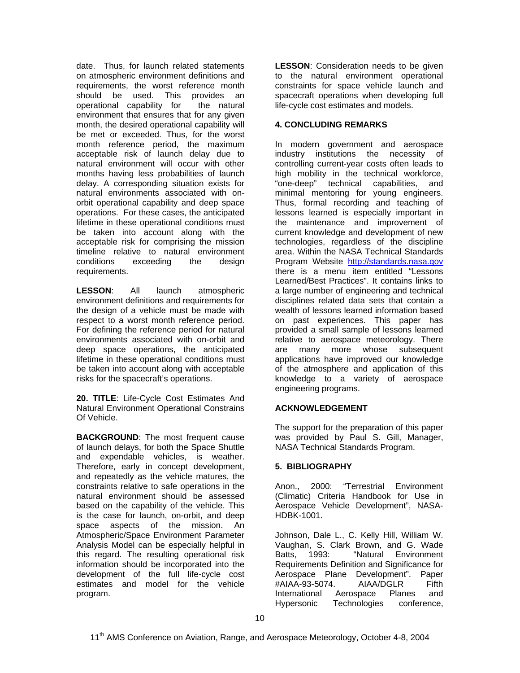date. Thus, for launch related statements on atmospheric environment definitions and requirements, the worst reference month should be used. This provides an operational capability for the natural environment that ensures that for any given month, the desired operational capability will be met or exceeded. Thus, for the worst month reference period, the maximum acceptable risk of launch delay due to natural environment will occur with other months having less probabilities of launch delay. A corresponding situation exists for natural environments associated with onorbit operational capability and deep space operations. For these cases, the anticipated lifetime in these operational conditions must be taken into account along with the acceptable risk for comprising the mission timeline relative to natural environment conditions exceeding the design requirements.

**LESSON**: All launch atmospheric environment definitions and requirements for the design of a vehicle must be made with respect to a worst month reference period. For defining the reference period for natural environments associated with on-orbit and deep space operations, the anticipated lifetime in these operational conditions must be taken into account along with acceptable risks for the spacecraft's operations.

**20. TITLE**: Life-Cycle Cost Estimates And Natural Environment Operational Constrains Of Vehicle.

**BACKGROUND:** The most frequent cause of launch delays, for both the Space Shuttle and expendable vehicles, is weather. Therefore, early in concept development, and repeatedly as the vehicle matures, the constraints relative to safe operations in the natural environment should be assessed based on the capability of the vehicle. This is the case for launch, on-orbit, and deep space aspects of the mission. An Atmospheric/Space Environment Parameter Analysis Model can be especially helpful in this regard. The resulting operational risk information should be incorporated into the development of the full life-cycle cost estimates and model for the vehicle program.

**LESSON**: Consideration needs to be given to the natural environment operational constraints for space vehicle launch and spacecraft operations when developing full life-cycle cost estimates and models.

# **4. CONCLUDING REMARKS**

In modern government and aerospace industry institutions the necessity of controlling current-year costs often leads to high mobility in the technical workforce, "one-deep" technical capabilities, and minimal mentoring for young engineers. Thus, formal recording and teaching of lessons learned is especially important in the maintenance and improvement of current knowledge and development of new technologies, regardless of the discipline area. Within the NASA Technical Standards Program Website http://standards.nasa.gov there is a menu item entitled "Lessons Learned/Best Practices". It contains links to a large number of engineering and technical disciplines related data sets that contain a wealth of lessons learned information based on past experiences. This paper has provided a small sample of lessons learned relative to aerospace meteorology. There are many more whose subsequent applications have improved our knowledge of the atmosphere and application of this knowledge to a variety of aerospace engineering programs.

# **ACKNOWLEDGEMENT**

The support for the preparation of this paper was provided by Paul S. Gill, Manager, NASA Technical Standards Program.

# **5. BIBLIOGRAPHY**

Anon., 2000: "Terrestrial Environment (Climatic) Criteria Handbook for Use in Aerospace Vehicle Development", NASA-HDBK-1001.

Johnson, Dale L., C. Kelly Hill, William W. Vaughan, S. Clark Brown, and G. Wade Batts, 1993: "Natural Environment Requirements Definition and Significance for Aerospace Plane Development". Paper<br>#AIAA-93-5074. AIAA/DGLR Fifth #AIAA-93-5074. AIAA/DGLR Fifth International Aerospace Planes and Hypersonic Technologies conference,